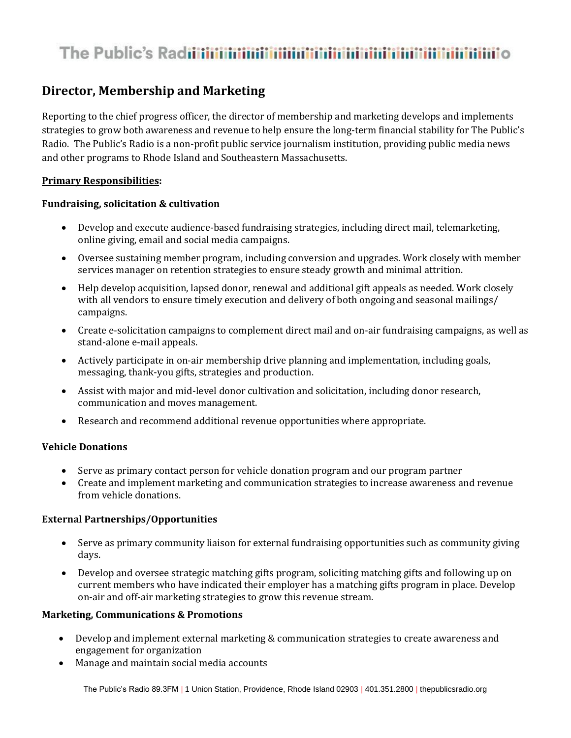# 

# **Director, Membership and Marketing**

Reporting to the chief progress officer, the director of membership and marketing develops and implements strategies to grow both awareness and revenue to help ensure the long-term financial stability for The Public's Radio. The Public's Radio is a non-profit public service journalism institution, providing public media news and other programs to Rhode Island and Southeastern Massachusetts.

# **Primary Responsibilities:**

### **Fundraising, solicitation & cultivation**

- Develop and execute audience-based fundraising strategies, including direct mail, telemarketing, online giving, email and social media campaigns.
- Oversee sustaining member program, including conversion and upgrades. Work closely with member services manager on retention strategies to ensure steady growth and minimal attrition.
- Help develop acquisition, lapsed donor, renewal and additional gift appeals as needed. Work closely with all vendors to ensure timely execution and delivery of both ongoing and seasonal mailings/ campaigns.
- Create e-solicitation campaigns to complement direct mail and on-air fundraising campaigns, as well as stand-alone e-mail appeals.
- Actively participate in on-air membership drive planning and implementation, including goals, messaging, thank-you gifts, strategies and production.
- Assist with major and mid-level donor cultivation and solicitation, including donor research, communication and moves management.
- Research and recommend additional revenue opportunities where appropriate.

### **Vehicle Donations**

- Serve as primary contact person for vehicle donation program and our program partner
- Create and implement marketing and communication strategies to increase awareness and revenue from vehicle donations.

# **External Partnerships/Opportunities**

- Serve as primary community liaison for external fundraising opportunities such as community giving days.
- Develop and oversee strategic matching gifts program, soliciting matching gifts and following up on current members who have indicated their employer has a matching gifts program in place. Develop on-air and off-air marketing strategies to grow this revenue stream.

#### **Marketing, Communications & Promotions**

- Develop and implement external marketing & communication strategies to create awareness and engagement for organization
- Manage and maintain social media accounts